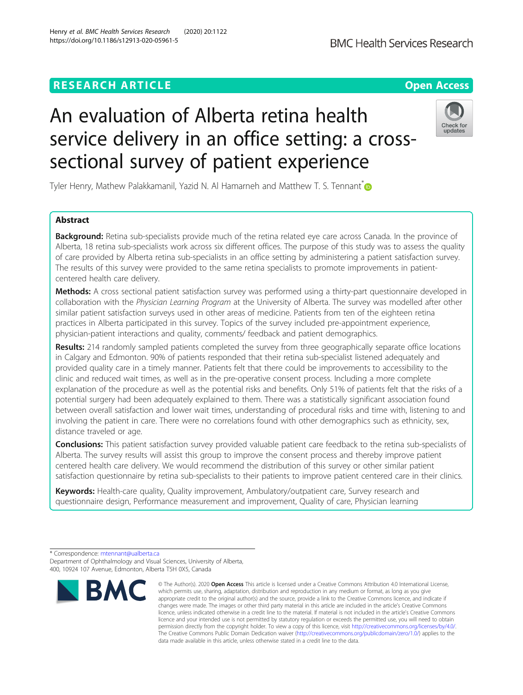# **RESEARCH ARTICLE Example 2018 12:30 THE OPEN ACCESS**

# An evaluation of Alberta retina health service delivery in an office setting: a crosssectional survey of patient experience

Tyler Henry, Mathew Palakkamanil, Yazid N. Al Hamarneh and Matthew T. S. Tennant  $\ddot{\bullet}$ 

# Abstract

Background: Retina sub-specialists provide much of the retina related eye care across Canada. In the province of Alberta, 18 retina sub-specialists work across six different offices. The purpose of this study was to assess the quality of care provided by Alberta retina sub-specialists in an office setting by administering a patient satisfaction survey. The results of this survey were provided to the same retina specialists to promote improvements in patientcentered health care delivery.

Methods: A cross sectional patient satisfaction survey was performed using a thirty-part questionnaire developed in collaboration with the Physician Learning Program at the University of Alberta. The survey was modelled after other similar patient satisfaction surveys used in other areas of medicine. Patients from ten of the eighteen retina practices in Alberta participated in this survey. Topics of the survey included pre-appointment experience, physician-patient interactions and quality, comments/ feedback and patient demographics.

Results: 214 randomly sampled patients completed the survey from three geographically separate office locations in Calgary and Edmonton. 90% of patients responded that their retina sub-specialist listened adequately and provided quality care in a timely manner. Patients felt that there could be improvements to accessibility to the clinic and reduced wait times, as well as in the pre-operative consent process. Including a more complete explanation of the procedure as well as the potential risks and benefits. Only 51% of patients felt that the risks of a potential surgery had been adequately explained to them. There was a statistically significant association found between overall satisfaction and lower wait times, understanding of procedural risks and time with, listening to and involving the patient in care. There were no correlations found with other demographics such as ethnicity, sex, distance traveled or age.

Conclusions: This patient satisfaction survey provided valuable patient care feedback to the retina sub-specialists of Alberta. The survey results will assist this group to improve the consent process and thereby improve patient centered health care delivery. We would recommend the distribution of this survey or other similar patient satisfaction questionnaire by retina sub-specialists to their patients to improve patient centered care in their clinics.

Keywords: Health-care quality, Quality improvement, Ambulatory/outpatient care, Survey research and questionnaire design, Performance measurement and improvement, Quality of care, Physician learning







<sup>\*</sup> Correspondence: [mtennant@ualberta.ca](mailto:mtennant@ualberta.ca) Department of Ophthalmology and Visual Sciences, University of Alberta, 400, 10924 107 Avenue, Edmonton, Alberta T5H 0X5, Canada

which permits use, sharing, adaptation, distribution and reproduction in any medium or format, as long as you give appropriate credit to the original author(s) and the source, provide a link to the Creative Commons licence, and indicate if changes were made. The images or other third party material in this article are included in the article's Creative Commons licence, unless indicated otherwise in a credit line to the material. If material is not included in the article's Creative Commons licence and your intended use is not permitted by statutory regulation or exceeds the permitted use, you will need to obtain permission directly from the copyright holder. To view a copy of this licence, visit [http://creativecommons.org/licenses/by/4.0/.](http://creativecommons.org/licenses/by/4.0/) The Creative Commons Public Domain Dedication waiver [\(http://creativecommons.org/publicdomain/zero/1.0/](http://creativecommons.org/publicdomain/zero/1.0/)) applies to the data made available in this article, unless otherwise stated in a credit line to the data.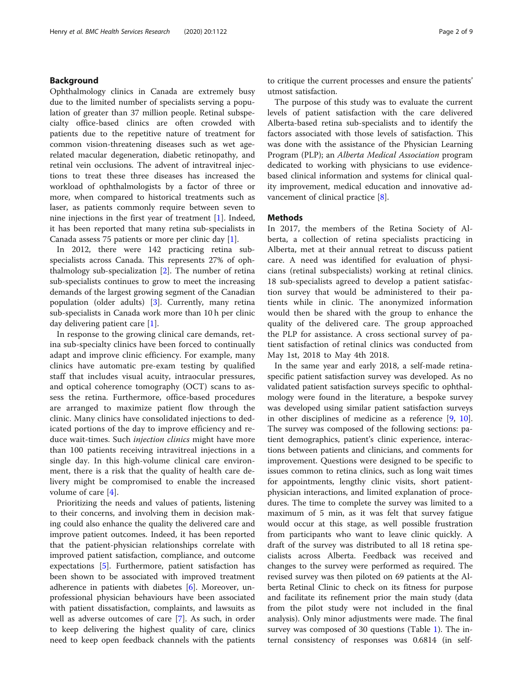# Background

Ophthalmology clinics in Canada are extremely busy due to the limited number of specialists serving a population of greater than 37 million people. Retinal subspecialty office-based clinics are often crowded with patients due to the repetitive nature of treatment for common vision-threatening diseases such as wet agerelated macular degeneration, diabetic retinopathy, and retinal vein occlusions. The advent of intravitreal injections to treat these three diseases has increased the workload of ophthalmologists by a factor of three or more, when compared to historical treatments such as laser, as patients commonly require between seven to nine injections in the first year of treatment [[1\]](#page-7-0). Indeed, it has been reported that many retina sub-specialists in Canada assess 75 patients or more per clinic day [\[1\]](#page-7-0).

In 2012, there were 142 practicing retina subspecialists across Canada. This represents 27% of ophthalmology sub-specialization [\[2](#page-7-0)]. The number of retina sub-specialists continues to grow to meet the increasing demands of the largest growing segment of the Canadian population (older adults) [\[3](#page-7-0)]. Currently, many retina sub-specialists in Canada work more than 10 h per clinic day delivering patient care [[1\]](#page-7-0).

In response to the growing clinical care demands, retina sub-specialty clinics have been forced to continually adapt and improve clinic efficiency. For example, many clinics have automatic pre-exam testing by qualified staff that includes visual acuity, intraocular pressures, and optical coherence tomography (OCT) scans to assess the retina. Furthermore, office-based procedures are arranged to maximize patient flow through the clinic. Many clinics have consolidated injections to dedicated portions of the day to improve efficiency and reduce wait-times. Such *injection clinics* might have more than 100 patients receiving intravitreal injections in a single day. In this high-volume clinical care environment, there is a risk that the quality of health care delivery might be compromised to enable the increased volume of care [[4\]](#page-7-0).

Prioritizing the needs and values of patients, listening to their concerns, and involving them in decision making could also enhance the quality the delivered care and improve patient outcomes. Indeed, it has been reported that the patient-physician relationships correlate with improved patient satisfaction, compliance, and outcome expectations [\[5](#page-7-0)]. Furthermore, patient satisfaction has been shown to be associated with improved treatment adherence in patients with diabetes [[6\]](#page-7-0). Moreover, unprofessional physician behaviours have been associated with patient dissatisfaction, complaints, and lawsuits as well as adverse outcomes of care [[7\]](#page-7-0). As such, in order to keep delivering the highest quality of care, clinics need to keep open feedback channels with the patients to critique the current processes and ensure the patients' utmost satisfaction.

The purpose of this study was to evaluate the current levels of patient satisfaction with the care delivered Alberta-based retina sub-specialists and to identify the factors associated with those levels of satisfaction. This was done with the assistance of the Physician Learning Program (PLP); an Alberta Medical Association program dedicated to working with physicians to use evidencebased clinical information and systems for clinical quality improvement, medical education and innovative advancement of clinical practice [[8\]](#page-7-0).

## Methods

In 2017, the members of the Retina Society of Alberta, a collection of retina specialists practicing in Alberta, met at their annual retreat to discuss patient care. A need was identified for evaluation of physicians (retinal subspecialists) working at retinal clinics. 18 sub-specialists agreed to develop a patient satisfaction survey that would be administered to their patients while in clinic. The anonymized information would then be shared with the group to enhance the quality of the delivered care. The group approached the PLP for assistance. A cross sectional survey of patient satisfaction of retinal clinics was conducted from May 1st, 2018 to May 4th 2018.

In the same year and early 2018, a self-made retinaspecific patient satisfaction survey was developed. As no validated patient satisfaction surveys specific to ophthalmology were found in the literature, a bespoke survey was developed using similar patient satisfaction surveys in other disciplines of medicine as a reference [[9,](#page-7-0) [10](#page-7-0)]. The survey was composed of the following sections: patient demographics, patient's clinic experience, interactions between patients and clinicians, and comments for improvement. Questions were designed to be specific to issues common to retina clinics, such as long wait times for appointments, lengthy clinic visits, short patientphysician interactions, and limited explanation of procedures. The time to complete the survey was limited to a maximum of 5 min, as it was felt that survey fatigue would occur at this stage, as well possible frustration from participants who want to leave clinic quickly. A draft of the survey was distributed to all 18 retina specialists across Alberta. Feedback was received and changes to the survey were performed as required. The revised survey was then piloted on 69 patients at the Alberta Retinal Clinic to check on its fitness for purpose and facilitate its refinement prior the main study (data from the pilot study were not included in the final analysis). Only minor adjustments were made. The final survey was composed of 30 questions (Table [1\)](#page-2-0). The internal consistency of responses was 0.6814 (in self-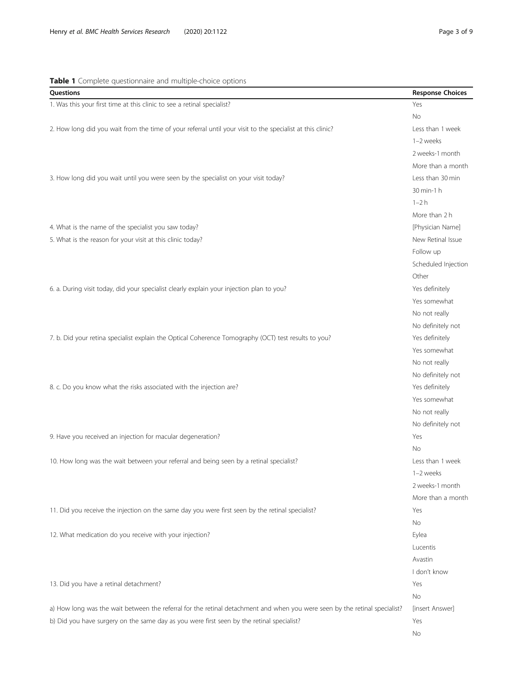# <span id="page-2-0"></span>Table 1 Complete questionnaire and multiple-choice options

| Questions                                                                                                                  | <b>Response Choices</b> |
|----------------------------------------------------------------------------------------------------------------------------|-------------------------|
| 1. Was this your first time at this clinic to see a retinal specialist?                                                    | Yes                     |
|                                                                                                                            | <b>No</b>               |
| 2. How long did you wait from the time of your referral until your visit to the specialist at this clinic?                 | Less than 1 week        |
|                                                                                                                            | 1-2 weeks               |
|                                                                                                                            | 2 weeks-1 month         |
|                                                                                                                            | More than a month       |
| 3. How long did you wait until you were seen by the specialist on your visit today?                                        | Less than 30 min        |
|                                                                                                                            | 30 min-1 h              |
|                                                                                                                            | $1-2h$                  |
|                                                                                                                            | More than 2 h           |
| 4. What is the name of the specialist you saw today?                                                                       | [Physician Name]        |
| 5. What is the reason for your visit at this clinic today?                                                                 | New Retinal Issue       |
|                                                                                                                            | Follow up               |
|                                                                                                                            | Scheduled Injection     |
|                                                                                                                            | Other                   |
| 6. a. During visit today, did your specialist clearly explain your injection plan to you?                                  | Yes definitely          |
|                                                                                                                            | Yes somewhat            |
|                                                                                                                            | No not really           |
|                                                                                                                            | No definitely not       |
| 7. b. Did your retina specialist explain the Optical Coherence Tomography (OCT) test results to you?                       | Yes definitely          |
|                                                                                                                            | Yes somewhat            |
|                                                                                                                            | No not really           |
|                                                                                                                            | No definitely not       |
| 8. c. Do you know what the risks associated with the injection are?                                                        | Yes definitely          |
|                                                                                                                            | Yes somewhat            |
|                                                                                                                            | No not really           |
|                                                                                                                            | No definitely not       |
| 9. Have you received an injection for macular degeneration?                                                                | Yes                     |
|                                                                                                                            | <b>No</b>               |
| 10. How long was the wait between your referral and being seen by a retinal specialist?                                    | Less than 1 week        |
|                                                                                                                            | 1-2 weeks               |
|                                                                                                                            | 2 weeks-1 month         |
|                                                                                                                            | More than a month       |
| 11. Did you receive the injection on the same day you were first seen by the retinal specialist?                           | Yes                     |
|                                                                                                                            | No                      |
| 12. What medication do you receive with your injection?                                                                    | Eylea                   |
|                                                                                                                            | Lucentis                |
|                                                                                                                            | Avastin                 |
|                                                                                                                            | I don't know            |
| 13. Did you have a retinal detachment?                                                                                     | Yes                     |
|                                                                                                                            | No                      |
| a) How long was the wait between the referral for the retinal detachment and when you were seen by the retinal specialist? | [insert Answer]         |
| b) Did you have surgery on the same day as you were first seen by the retinal specialist?                                  | Yes                     |
|                                                                                                                            | No                      |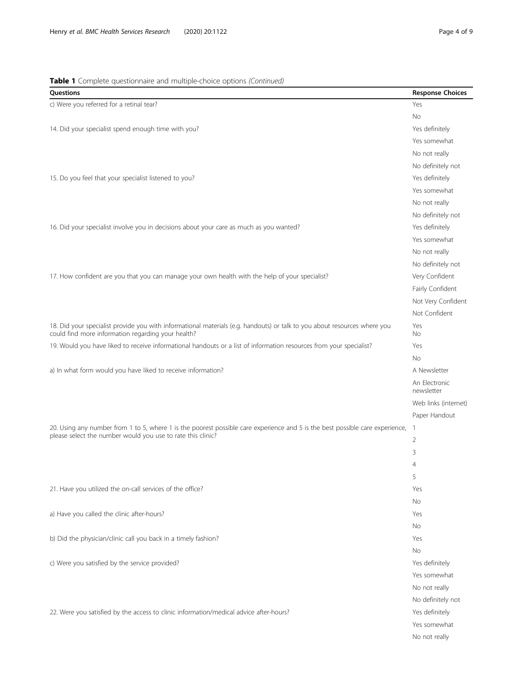# Table 1 Complete questionnaire and multiple-choice options (Continued)

| Questions                                                                                                                                                                       | <b>Response Choices</b>     |
|---------------------------------------------------------------------------------------------------------------------------------------------------------------------------------|-----------------------------|
| c) Were you referred for a retinal tear?                                                                                                                                        | Yes                         |
|                                                                                                                                                                                 | No                          |
| 14. Did your specialist spend enough time with you?                                                                                                                             | Yes definitely              |
|                                                                                                                                                                                 | Yes somewhat                |
|                                                                                                                                                                                 | No not really               |
|                                                                                                                                                                                 | No definitely not           |
| 15. Do you feel that your specialist listened to you?                                                                                                                           | Yes definitely              |
|                                                                                                                                                                                 | Yes somewhat                |
|                                                                                                                                                                                 | No not really               |
|                                                                                                                                                                                 | No definitely not           |
| 16. Did your specialist involve you in decisions about your care as much as you wanted?                                                                                         | Yes definitely              |
|                                                                                                                                                                                 | Yes somewhat                |
|                                                                                                                                                                                 | No not really               |
|                                                                                                                                                                                 | No definitely not           |
| 17. How confident are you that you can manage your own health with the help of your specialist?                                                                                 | Very Confident              |
|                                                                                                                                                                                 | Fairly Confident            |
|                                                                                                                                                                                 | Not Very Confident          |
|                                                                                                                                                                                 | Not Confident               |
| 18. Did your specialist provide you with informational materials (e.g. handouts) or talk to you about resources where you<br>could find more information regarding your health? | Yes<br>No                   |
| 19. Would you have liked to receive informational handouts or a list of information resources from your specialist?                                                             | Yes                         |
|                                                                                                                                                                                 | No                          |
| a) In what form would you have liked to receive information?                                                                                                                    | A Newsletter                |
|                                                                                                                                                                                 | An Electronic<br>newsletter |
|                                                                                                                                                                                 | Web links (internet)        |
|                                                                                                                                                                                 | Paper Handout               |
| 20. Using any number from 1 to 5, where 1 is the poorest possible care experience and 5 is the best possible care experience,                                                   | 1                           |
| please select the number would you use to rate this clinic?                                                                                                                     |                             |
|                                                                                                                                                                                 |                             |
|                                                                                                                                                                                 | 5                           |
| 21. Have you utilized the on-call services of the office?                                                                                                                       | Yes                         |
|                                                                                                                                                                                 | No                          |
| a) Have you called the clinic after-hours?                                                                                                                                      | Yes                         |
|                                                                                                                                                                                 | <b>No</b>                   |
| b) Did the physician/clinic call you back in a timely fashion?                                                                                                                  | Yes                         |
|                                                                                                                                                                                 | No                          |
| c) Were you satisfied by the service provided?                                                                                                                                  | Yes definitely              |
|                                                                                                                                                                                 | Yes somewhat                |
|                                                                                                                                                                                 | No not really               |
|                                                                                                                                                                                 | No definitely not           |
| 22. Were you satisfied by the access to clinic information/medical advice after-hours?                                                                                          | Yes definitely              |
|                                                                                                                                                                                 | Yes somewhat                |
|                                                                                                                                                                                 | No not really               |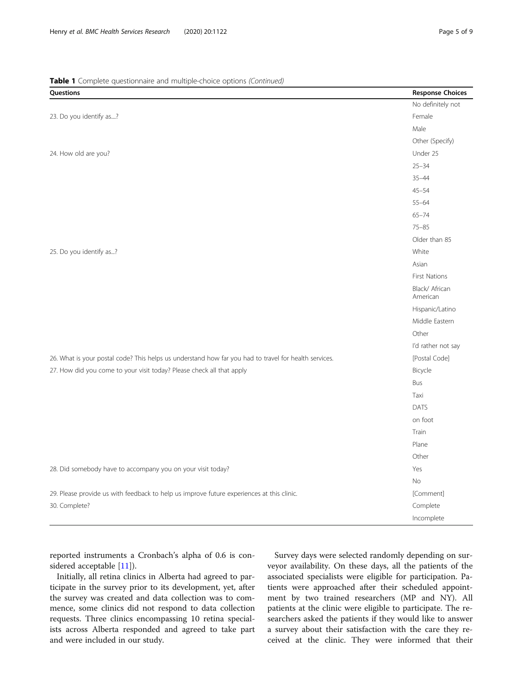# Table 1 Complete questionnaire and multiple-choice options (Continued)

| Questions                                                                                             | <b>Response Choices</b>    |
|-------------------------------------------------------------------------------------------------------|----------------------------|
|                                                                                                       | No definitely not          |
| 23. Do you identify as?                                                                               | Female                     |
|                                                                                                       | Male                       |
|                                                                                                       | Other (Specify)            |
| 24. How old are you?                                                                                  | Under 25                   |
|                                                                                                       | $25 - 34$                  |
|                                                                                                       | $35 - 44$                  |
|                                                                                                       | $45 - 54$                  |
|                                                                                                       | $55 - 64$                  |
|                                                                                                       | $65 - 74$                  |
|                                                                                                       | $75 - 85$                  |
|                                                                                                       | Older than 85              |
| 25. Do you identify as?                                                                               | White                      |
|                                                                                                       | Asian                      |
|                                                                                                       | <b>First Nations</b>       |
|                                                                                                       | Black/ African<br>American |
|                                                                                                       | Hispanic/Latino            |
|                                                                                                       | Middle Eastern             |
|                                                                                                       | Other                      |
|                                                                                                       | I'd rather not say         |
| 26. What is your postal code? This helps us understand how far you had to travel for health services. | [Postal Code]              |
| 27. How did you come to your visit today? Please check all that apply                                 | Bicycle                    |
|                                                                                                       | Bus                        |
|                                                                                                       | Taxi                       |
|                                                                                                       | <b>DATS</b>                |
|                                                                                                       | on foot                    |
|                                                                                                       | Train                      |
|                                                                                                       | Plane                      |
|                                                                                                       | Other                      |
| 28. Did somebody have to accompany you on your visit today?                                           | Yes                        |
|                                                                                                       | <b>No</b>                  |
| 29. Please provide us with feedback to help us improve future experiences at this clinic.             | [Comment]                  |
| 30. Complete?                                                                                         | Complete                   |
|                                                                                                       | Incomplete                 |

reported instruments a Cronbach's alpha of 0.6 is considered acceptable [\[11](#page-7-0)]).

Initially, all retina clinics in Alberta had agreed to participate in the survey prior to its development, yet, after the survey was created and data collection was to commence, some clinics did not respond to data collection requests. Three clinics encompassing 10 retina specialists across Alberta responded and agreed to take part and were included in our study.

Survey days were selected randomly depending on surveyor availability. On these days, all the patients of the associated specialists were eligible for participation. Patients were approached after their scheduled appointment by two trained researchers (MP and NY). All patients at the clinic were eligible to participate. The researchers asked the patients if they would like to answer a survey about their satisfaction with the care they received at the clinic. They were informed that their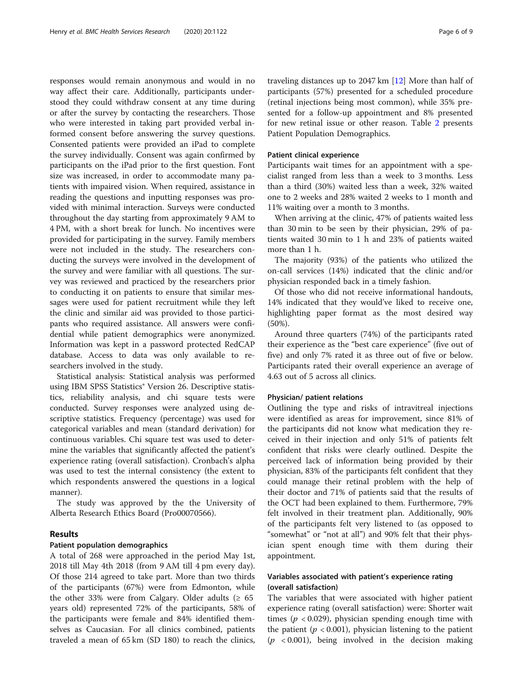responses would remain anonymous and would in no way affect their care. Additionally, participants understood they could withdraw consent at any time during or after the survey by contacting the researchers. Those who were interested in taking part provided verbal informed consent before answering the survey questions. Consented patients were provided an iPad to complete the survey individually. Consent was again confirmed by participants on the iPad prior to the first question. Font size was increased, in order to accommodate many patients with impaired vision. When required, assistance in reading the questions and inputting responses was provided with minimal interaction. Surveys were conducted throughout the day starting from approximately 9 AM to 4 PM, with a short break for lunch. No incentives were provided for participating in the survey. Family members were not included in the study. The researchers conducting the surveys were involved in the development of the survey and were familiar with all questions. The survey was reviewed and practiced by the researchers prior to conducting it on patients to ensure that similar messages were used for patient recruitment while they left the clinic and similar aid was provided to those participants who required assistance. All answers were confidential while patient demographics were anonymized. Information was kept in a password protected RedCAP database. Access to data was only available to researchers involved in the study.

Statistical analysis: Statistical analysis was performed using IBM SPSS Statistics® Version 26. Descriptive statistics, reliability analysis, and chi square tests were conducted. Survey responses were analyzed using descriptive statistics. Frequency (percentage) was used for categorical variables and mean (standard derivation) for continuous variables. Chi square test was used to determine the variables that significantly affected the patient's experience rating (overall satisfaction). Cronbach's alpha was used to test the internal consistency (the extent to which respondents answered the questions in a logical manner).

The study was approved by the the University of Alberta Research Ethics Board (Pro00070566).

# Results

## Patient population demographics

A total of 268 were approached in the period May 1st, 2018 till May 4th 2018 (from 9 AM till 4 pm every day). Of those 214 agreed to take part. More than two thirds of the participants (67%) were from Edmonton, while the other 33% were from Calgary. Older adults ( $\geq 65$ years old) represented 72% of the participants, 58% of the participants were female and 84% identified themselves as Caucasian. For all clinics combined, patients traveled a mean of 65 km (SD 180) to reach the clinics, traveling distances up to 2047 km [\[12](#page-7-0)] More than half of participants (57%) presented for a scheduled procedure (retinal injections being most common), while 35% presented for a follow-up appointment and 8% presented for new retinal issue or other reason. Table [2](#page-6-0) presents Patient Population Demographics.

# Patient clinical experience

Participants wait times for an appointment with a specialist ranged from less than a week to 3 months. Less than a third (30%) waited less than a week, 32% waited one to 2 weeks and 28% waited 2 weeks to 1 month and 11% waiting over a month to 3 months.

When arriving at the clinic, 47% of patients waited less than 30 min to be seen by their physician, 29% of patients waited 30 min to 1 h and 23% of patients waited more than 1 h.

The majority (93%) of the patients who utilized the on-call services (14%) indicated that the clinic and/or physician responded back in a timely fashion.

Of those who did not receive informational handouts, 14% indicated that they would've liked to receive one, highlighting paper format as the most desired way (50%).

Around three quarters (74%) of the participants rated their experience as the "best care experience" (five out of five) and only 7% rated it as three out of five or below. Participants rated their overall experience an average of 4.63 out of 5 across all clinics.

## Physician/ patient relations

Outlining the type and risks of intravitreal injections were identified as areas for improvement, since 81% of the participants did not know what medication they received in their injection and only 51% of patients felt confident that risks were clearly outlined. Despite the perceived lack of information being provided by their physician, 83% of the participants felt confident that they could manage their retinal problem with the help of their doctor and 71% of patients said that the results of the OCT had been explained to them. Furthermore, 79% felt involved in their treatment plan. Additionally, 90% of the participants felt very listened to (as opposed to "somewhat" or "not at all") and 90% felt that their physician spent enough time with them during their appointment.

# Variables associated with patient's experience rating (overall satisfaction)

The variables that were associated with higher patient experience rating (overall satisfaction) were: Shorter wait times ( $p < 0.029$ ), physician spending enough time with the patient ( $p < 0.001$ ), physician listening to the patient  $(p \lt 0.001)$ , being involved in the decision making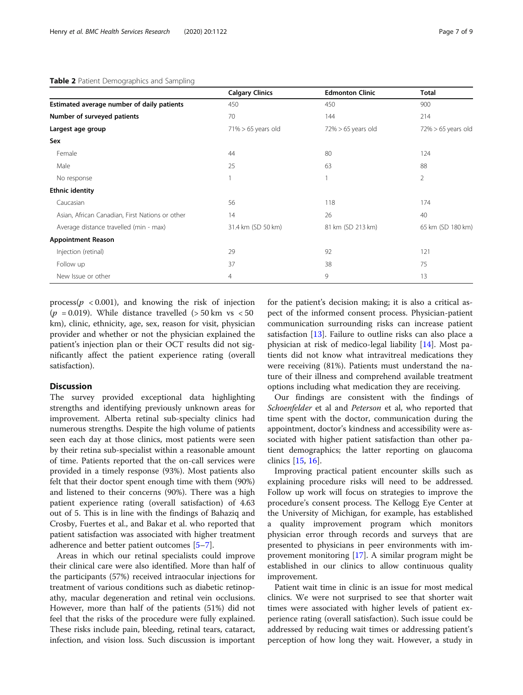<span id="page-6-0"></span>

|                                                 | <b>Calgary Clinics</b> | <b>Edmonton Clinic</b> | <b>Total</b>          |
|-------------------------------------------------|------------------------|------------------------|-----------------------|
| Estimated average number of daily patients      | 450                    | 450                    | 900                   |
| Number of surveyed patients                     | 70                     | 144                    | 214                   |
| Largest age group                               | $71\% > 65$ years old  | $72\% > 65$ years old  | $72\% > 65$ years old |
| Sex                                             |                        |                        |                       |
| Female                                          | 44                     | 80                     | 124                   |
| Male                                            | 25                     | 63                     | 88                    |
| No response                                     |                        |                        | 2                     |
| <b>Ethnic identity</b>                          |                        |                        |                       |
| Caucasian                                       | 56                     | 118                    | 174                   |
| Asian, African Canadian, First Nations or other | 14                     | 26                     | 40                    |
| Average distance travelled (min - max)          | 31.4 km (SD 50 km)     | 81 km (SD 213 km)      | 65 km (SD 180 km)     |
| <b>Appointment Reason</b>                       |                        |                        |                       |
| Injection (retinal)                             | 29                     | 92                     | 121                   |
| Follow up                                       | 37                     | 38                     | 75                    |
| New Issue or other                              | $\overline{4}$         | 9                      | 13                    |

process( $p \lt 0.001$ ), and knowing the risk of injection ( $p = 0.019$ ). While distance travelled ( $> 50$  km vs  $< 50$ ) km), clinic, ethnicity, age, sex, reason for visit, physician provider and whether or not the physician explained the patient's injection plan or their OCT results did not significantly affect the patient experience rating (overall satisfaction).

## **Discussion**

The survey provided exceptional data highlighting strengths and identifying previously unknown areas for improvement. Alberta retinal sub-specialty clinics had numerous strengths. Despite the high volume of patients seen each day at those clinics, most patients were seen by their retina sub-specialist within a reasonable amount of time. Patients reported that the on-call services were provided in a timely response (93%). Most patients also felt that their doctor spent enough time with them (90%) and listened to their concerns (90%). There was a high patient experience rating (overall satisfaction) of 4.63 out of 5. This is in line with the findings of Bahaziq and Crosby, Fuertes et al., and Bakar et al. who reported that patient satisfaction was associated with higher treatment adherence and better patient outcomes [[5](#page-7-0)–[7\]](#page-7-0).

Areas in which our retinal specialists could improve their clinical care were also identified. More than half of the participants (57%) received intraocular injections for treatment of various conditions such as diabetic retinopathy, macular degeneration and retinal vein occlusions. However, more than half of the patients (51%) did not feel that the risks of the procedure were fully explained. These risks include pain, bleeding, retinal tears, cataract, infection, and vision loss. Such discussion is important

for the patient's decision making; it is also a critical aspect of the informed consent process. Physician-patient communication surrounding risks can increase patient satisfaction  $[13]$  $[13]$ . Failure to outline risks can also place a physician at risk of medico-legal liability [\[14](#page-7-0)]. Most patients did not know what intravitreal medications they were receiving (81%). Patients must understand the nature of their illness and comprehend available treatment options including what medication they are receiving.

Our findings are consistent with the findings of Schoenfelder et al and Peterson et al, who reported that time spent with the doctor, communication during the appointment, doctor's kindness and accessibility were associated with higher patient satisfaction than other patient demographics; the latter reporting on glaucoma clinics [[15](#page-8-0), [16](#page-8-0)].

Improving practical patient encounter skills such as explaining procedure risks will need to be addressed. Follow up work will focus on strategies to improve the procedure's consent process. The Kellogg Eye Center at the University of Michigan, for example, has established a quality improvement program which monitors physician error through records and surveys that are presented to physicians in peer environments with improvement monitoring [\[17](#page-8-0)]. A similar program might be established in our clinics to allow continuous quality improvement.

Patient wait time in clinic is an issue for most medical clinics. We were not surprised to see that shorter wait times were associated with higher levels of patient experience rating (overall satisfaction). Such issue could be addressed by reducing wait times or addressing patient's perception of how long they wait. However, a study in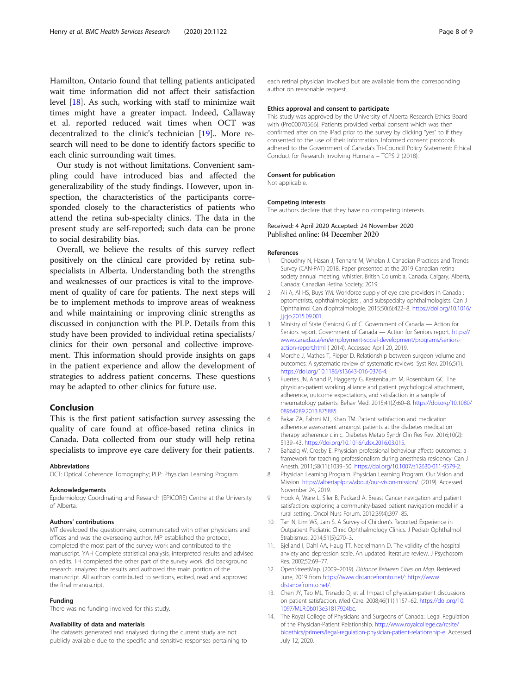<span id="page-7-0"></span>Hamilton, Ontario found that telling patients anticipated wait time information did not affect their satisfaction level [\[18\]](#page-8-0). As such, working with staff to minimize wait times might have a greater impact. Indeed, Callaway et al. reported reduced wait times when OCT was decentralized to the clinic's technician [\[19](#page-8-0)].. More research will need to be done to identify factors specific to each clinic surrounding wait times.

Our study is not without limitations. Convenient sampling could have introduced bias and affected the generalizability of the study findings. However, upon inspection, the characteristics of the participants corresponded closely to the characteristics of patients who attend the retina sub-specialty clinics. The data in the present study are self-reported; such data can be prone to social desirability bias.

Overall, we believe the results of this survey reflect positively on the clinical care provided by retina subspecialists in Alberta. Understanding both the strengths and weaknesses of our practices is vital to the improvement of quality of care for patients. The next steps will be to implement methods to improve areas of weakness and while maintaining or improving clinic strengths as discussed in conjunction with the PLP. Details from this study have been provided to individual retina specialists/ clinics for their own personal and collective improvement. This information should provide insights on gaps in the patient experience and allow the development of strategies to address patient concerns. These questions may be adapted to other clinics for future use.

# Conclusion

This is the first patient satisfaction survey assessing the quality of care found at office-based retina clinics in Canada. Data collected from our study will help retina specialists to improve eye care delivery for their patients.

#### Abbreviations

OCT: Optical Coherence Tomography; PLP: Physician Learning Program

#### Acknowledgements

Epidemiology Coordinating and Research (EPICORE) Centre at the University of Alberta.

#### Authors' contributions

MT developed the questionnaire, communicated with other physicians and offices and was the overseeing author. MP established the protocol, completed the most part of the survey work and contributed to the manuscript. YAH Complete statistical analysis, interpreted results and advised on edits. TH completed the other part of the survey work, did background research, analyzed the results and authored the main portion of the manuscript. All authors contributed to sections, edited, read and approved the final manuscript.

#### Funding

There was no funding involved for this study.

#### Availability of data and materials

The datasets generated and analysed during the current study are not publicly available due to the specific and sensitive responses pertaining to each retinal physician involved but are available from the corresponding author on reasonable request.

#### Ethics approval and consent to participate

This study was approved by the University of Alberta Research Ethics Board with (Pro00070566). Patients provided verbal consent which was then confirmed after on the iPad prior to the survey by clicking "yes" to if they consented to the use of their information. Informed consent protocols adhered to the Government of Canada's Tri-Council Policy Statement: Ethical Conduct for Research Involving Humans – TCPS 2 (2018).

#### Consent for publication

Not applicable.

#### Competing interests

The authors declare that they have no competing interests.

## Received: 4 April 2020 Accepted: 24 November 2020 Published online: 04 December 2020

## References

- 1. Choudhry N, Hasan J, Tennant M, Whelan J. Canadian Practices and Trends Survey (CAN-PAT) 2018. Paper presented at the 2019 Canadian retina society annual meeting, whistler, British Columbia, Canada. Calgary, Alberta, Canada: Canadian Retina Society; 2019.
- 2. Ali A, Al HS, Buys YM. Workforce supply of eye care providers in Canada : optometrists, ophthalmologists , and subspecialty ophthalmologists. Can J Ophthalmol Can d'ophtalmologie. 2015;50(6):422–8. [https://doi.org/10.1016/](https://doi.org/10.1016/j.jcjo.2015.09.001) [j.jcjo.2015.09.001.](https://doi.org/10.1016/j.jcjo.2015.09.001)
- 3. Ministry of State (Seniors) G of C. Government of Canada Action for Seniors report. Government of Canada — Action for Seniors report. [https://](https://www.canada.ca/en/employment-social-development/programs/seniors-action-report.html) [www.canada.ca/en/employment-social-development/programs/seniors](https://www.canada.ca/en/employment-social-development/programs/seniors-action-report.html)[action-report.html](https://www.canada.ca/en/employment-social-development/programs/seniors-action-report.html) ( 2014). Accessed April 20, 2019.
- 4. Morche J, Mathes T, Pieper D. Relationship between surgeon volume and outcomes: A systematic review of systematic reviews. Syst Rev. 2016;5(1). <https://doi.org/10.1186/s13643-016-0376-4>.
- 5. Fuertes JN, Anand P, Haggerty G, Kestenbaum M, Rosenblum GC. The physician-patient working alliance and patient psychological attachment, adherence, outcome expectations, and satisfaction in a sample of rheumatology patients. Behav Med. 2015;41(2):60–8. [https://doi.org/10.1080/](https://doi.org/10.1080/08964289.2013.875885) [08964289.2013.875885.](https://doi.org/10.1080/08964289.2013.875885)
- 6. Bakar ZA, Fahrni ML, Khan TM. Patient satisfaction and medication adherence assessment amongst patients at the diabetes medication therapy adherence clinic. Diabetes Metab Syndr Clin Res Rev. 2016;10(2): S139–43. [https://doi.org/10.1016/j.dsx.2016.03.015.](https://doi.org/10.1016/j.dsx.2016.03.015)
- 7. Bahaziq W, Crosby E. Physician professional behaviour affects outcomes: a framework for teaching professionalism during anesthesia residency. Can J Anesth. 2011;58(11):1039–50. <https://doi.org/10.1007/s12630-011-9579-2>.
- 8. Physician Learning Program. Physician Learning Program. Our Vision and Mission. [https://albertaplp.ca/about/our-vision-mission/.](https://albertaplp.ca/about/our-vision-mission/) (2019). Accessed November 24, 2019.
- 9. Hook A, Ware L, Siler B, Packard A. Breast Cancer navigation and patient satisfaction: exploring a community-based patient navigation model in a rural setting. Oncol Nurs Forum. 2012;39(4):397–85.
- 10. Tan N, Lim WS, Jain S. A Survey of Children's Reported Experience in Outpatient Pediatric Clinic Ophthalmology Clinics. J Pediatr Ophthalmol Strabismus. 2014;51(5):270–3.
- 11. Bjelland I, Dahl AA, Haug TT, Neckelmann D. The validity of the hospital anxiety and depression scale. An updated literature review. J Psychosom Res. 2002;52:69–77.
- 12. OpenStreetMap. (2009–2019). Distance Between Cities on Map. Retrieved June, 2019 from [https://www.distancefromto.net/: https://www.](https://www.distancefromto.net/) [distancefromto.net/.](https://www.distancefromto.net/)
- 13. Chen JY, Tao ML, Tisnado D, et al. Impact of physician-patient discussions on patient satisfaction. Med Care. 2008;46(11):1157–62. [https://doi.org/10.](https://doi.org/10.1097/MLR.0b013e31817924bc) [1097/MLR.0b013e31817924bc](https://doi.org/10.1097/MLR.0b013e31817924bc).
- 14. The Royal College of Physicians and Surgeons of Canada:: Legal Regulation of the Physician-Patient Relationship. [http://www.royalcollege.ca/rcsite/](http://www.royalcollege.ca/rcsite/bioethics/primers/legal-regulation-physician-patient-relationship-e) [bioethics/primers/legal-regulation-physician-patient-relationship-e](http://www.royalcollege.ca/rcsite/bioethics/primers/legal-regulation-physician-patient-relationship-e). Accessed July 12, 2020.